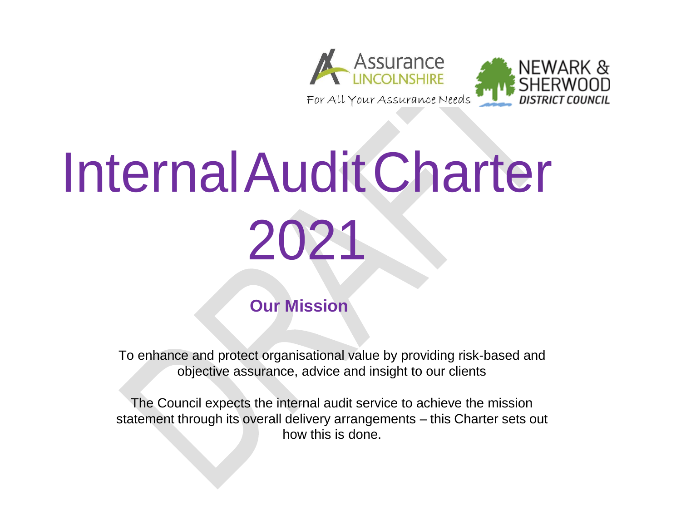



 **Our Mission**

To enhance and protect organisational value by providing risk-based and objective assurance, advice and insight to our clients

The Council expects the internal audit service to achieve the mission statement through its overall delivery arrangements – this Charter sets out how this is done.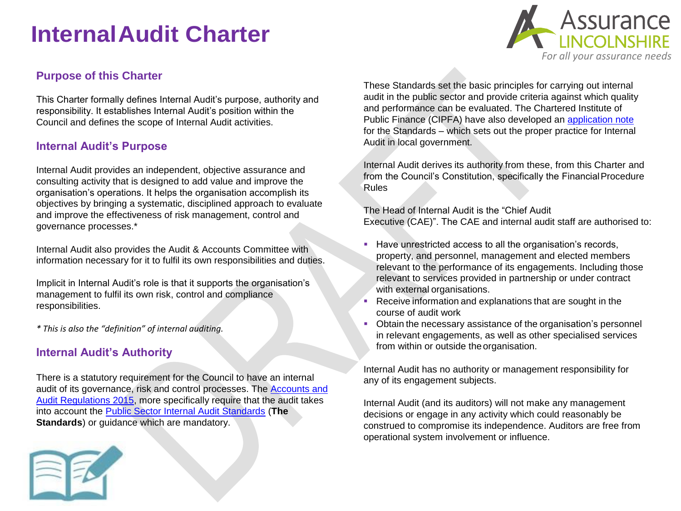#### **Purpose of this Charter**

This Charter formally defines Internal Audit's purpose, authority and responsibility. It establishes Internal Audit's position within the Council and defines the scope of Internal Audit activities.

#### **Internal Audit's Purpose**

Internal Audit provides an independent, objective assurance and consulting activity that is designed to add value and improve the organisation's operations. It helps the organisation accomplish its objectives by bringing a systematic, disciplined approach to evaluate and improve the effectiveness of risk management, control and governance processes.\*

Internal Audit also provides the Audit & Accounts Committee with information necessary for it to fulfil its own responsibilities and duties.

Implicit in Internal Audit's role is that it supports the organisation's management to fulfil its own risk, control and compliance responsibilities.

*\* This is also the "definition" of internal auditing.*

#### **Internal Audit's Authority**

There is a statutory requirement for the Council to have an internal [audit of its governance, risk and control processes. The Accounts and](http://www.legislation.gov.uk/uksi/2015/234/pdfs/uksi_20150234_en.pdf) [Audit Regulations 2015, more specifically require that the audit takes](http://www.legislation.gov.uk/uksi/2015/234/pdfs/uksi_20150234_en.pdf) into account the [Public Sector Internal Audit Standards](http://www.cipfa.org/policy-and-guidance/standards/public-sector-internal-audit-standards) (**The Standards**) or guidance which are mandatory.



*For all your assurance needs*

**Assurance**<br>LINCOLNSHIRE

Internal Audit derives its authority from these, from this Charter and from the Council's Constitution, specifically the Financial Procedure Rules

The Head of Internal Audit is the "Chief Audit Executive (CAE)". The CAE and internal audit staff are authorised to:

- Have unrestricted access to all the organisation's records, property, and personnel, management and elected members relevant to the performance of its engagements. Including those relevant to services provided in partnership or under contract with external organisations.
- Receive information and explanations that are sought in the course of audit work
- Obtain the necessary assistance of the organisation's personnel in relevant engagements, as well as other specialised services from within or outside the organisation.

Internal Audit has no authority or management responsibility for any of its engagement subjects.

Internal Audit (and its auditors) will not make any management decisions or engage in any activity which could reasonably be construed to compromise its independence. Auditors are free from operational system involvement or influence.

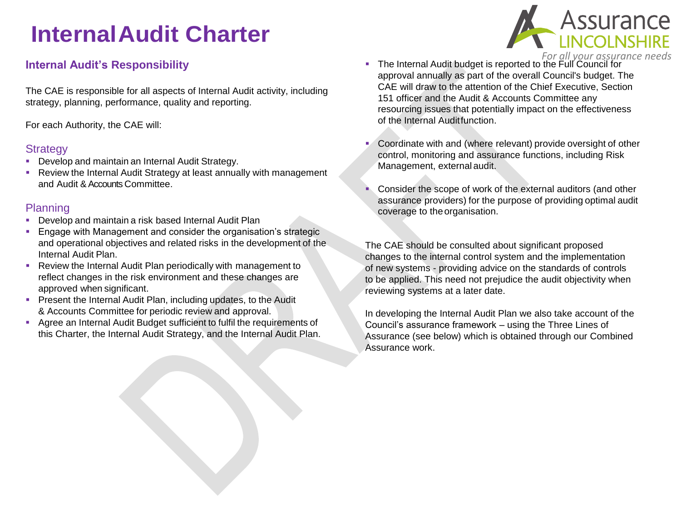## **Internal Audit's Responsibility**

The CAE is responsible for all aspects of Internal Audit activity, including strategy, planning, performance, quality and reporting.

For each Authority, the CAE will:

#### **Strategy**

- **Develop and maintain an Internal Audit Strategy.**
- Review the Internal Audit Strategy at least annually with management and Audit & Accounts Committee.

#### Planning

- Develop and maintain a risk based Internal Audit Plan
- Engage with Management and consider the organisation's strategic and operational objectives and related risks in the development of the Internal Audit Plan.
- Review the Internal Audit Plan periodically with management to reflect changes in the risk environment and these changes are approved when significant.
- **Present the Internal Audit Plan, including updates, to the Audit** & Accounts Committee for periodic review and approval.
- Agree an Internal Audit Budget sufficient to fulfil the requirements of this Charter, the Internal Audit Strategy, and the Internal Audit Plan.
- *For all your assurance needs* The Internal Audit budget is reported to the Full Council for approval annually as part of the overall Council's budget. The CAE will draw to the attention of the Chief Executive, Section 151 officer and the Audit & Accounts Committee any resourcing issues that potentially impact on the effectiveness of the Internal Auditfunction.
- Coordinate with and (where relevant) provide oversight of other control, monitoring and assurance functions, including Risk Management, external audit.
- **Consider the scope of work of the external auditors (and other** assurance providers) for the purpose of providing optimal audit coverage to the organisation.

The CAE should be consulted about significant proposed changes to the internal control system and the implementation of new systems - providing advice on the standards of controls to be applied. This need not prejudice the audit objectivity when reviewing systems at a later date.

In developing the Internal Audit Plan we also take account of the Council's assurance framework – using the Three Lines of Assurance (see below) which is obtained through our Combined Assurance work.

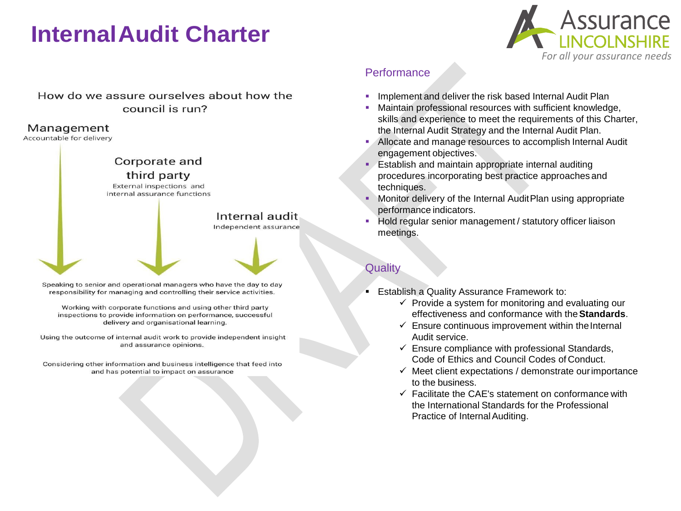

#### How do we assure ourselves about how the council is run?

#### Management

Accountable for delivery



Speaking to senior and operational managers who have the day to day responsibility for managing and controlling their service activities.

Working with corporate functions and using other third party inspections to provide information on performance, successful delivery and organisational learning.

Using the outcome of internal audit work to provide independent insight and assurance opinions.

Considering other information and business intelligence that feed into and has potential to impact on assurance

#### **Performance**

- Implement and deliver the risk based Internal Audit Plan
- Maintain professional resources with sufficient knowledge, skills and experience to meet the requirements of this Charter, the Internal Audit Strategy and the Internal Audit Plan.
- Allocate and manage resources to accomplish Internal Audit engagement objectives.
- **Establish and maintain appropriate internal auditing** procedures incorporating best practice approaches and techniques.
- Monitor delivery of the Internal AuditPlan using appropriate performance indicators.
- Hold regular senior management / statutory officer liaison meetings.

## **Quality**

- **Establish a Quality Assurance Framework to:** 
	- $\checkmark$  Provide a system for monitoring and evaluating our effectiveness and conformance with the**Standards**.
	- $\checkmark$  Ensure continuous improvement within the Internal Audit service.
	- $\checkmark$  Ensure compliance with professional Standards, Code of Ethics and Council Codes of Conduct.
	- $\checkmark$  Meet client expectations / demonstrate our importance to the business.
	- $\checkmark$  Facilitate the CAE's statement on conformance with the International Standards for the Professional Practice of Internal Auditing.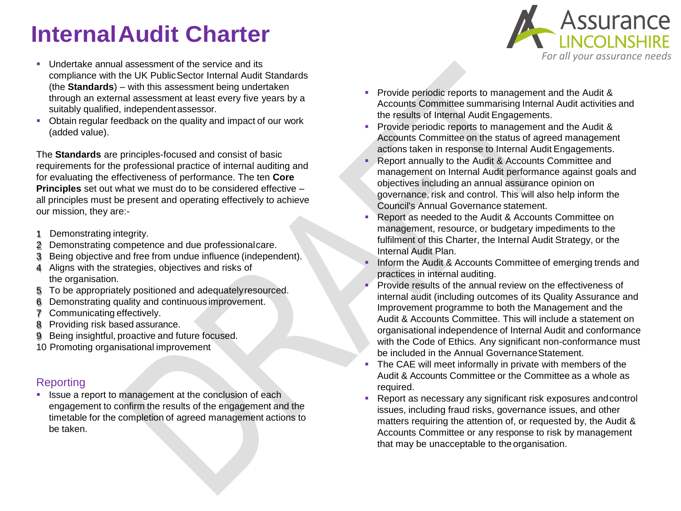- **Undertake annual assessment of the service and its** compliance with the UK PublicSector Internal Audit Standards (the **Standards**) – with this assessment being undertaken through an external assessment at least every five years by a suitably qualified, independent assessor.
- Obtain regular feedback on the quality and impact of our work (added value).

The **Standards** are principles-focused and consist of basic requirements for the professional practice of internal auditing and for evaluating the effectiveness of performance. The ten **Core Principles** set out what we must do to be considered effective – all principles must be present and operating effectively to achieve our mission, they are:-

- 1 Demonstrating integrity.
- 2 Demonstrating competence and due professionalcare.
- 3 Being objective and free from undue influence (independent).
- 4 Aligns with the strategies, objectives and risks of the organisation.
- 5 To be appropriately positioned and adequatelyresourced.
- 6 Demonstrating quality and continuous improvement.
- 7 Communicating effectively.
- 8 Providing risk based assurance.
- 9 Being insightful, proactive and future focused.
- 10 Promoting organisational improvement

## **Reporting**

**In Itsue a report to management at the conclusion of each** engagement to confirm the results of the engagement and the timetable for the completion of agreed management actions to be taken.

- Provide periodic reports to management and the Audit & Accounts Committee summarising Internal Audit activities and the results of Internal Audit Engagements.
- **Provide periodic reports to management and the Audit &** Accounts Committee on the status of agreed management actions taken in response to Internal Audit Engagements.
- **Report annually to the Audit & Accounts Committee and** management on Internal Audit performance against goals and objectives including an annual assurance opinion on governance, risk and control. This will also help inform the Council's Annual Governance statement.
- Report as needed to the Audit & Accounts Committee on management, resource, or budgetary impediments to the fulfilment of this Charter, the Internal Audit Strategy, or the Internal Audit Plan.
- Inform the Audit & Accounts Committee of emerging trends and practices in internal auditing.
- **Provide results of the annual review on the effectiveness of** internal audit (including outcomes of its Quality Assurance and Improvement programme to both the Management and the Audit & Accounts Committee. This will include a statement on organisational independence of Internal Audit and conformance with the Code of Ethics. Any significant non-conformance must be included in the Annual GovernanceStatement.
- The CAE will meet informally in private with members of the Audit & Accounts Committee or the Committee as a whole as required.
- Report as necessary any significant risk exposures andcontrol issues, including fraud risks, governance issues, and other matters requiring the attention of, or requested by, the Audit & Accounts Committee or any response to risk by management that may be unacceptable to the organisation.

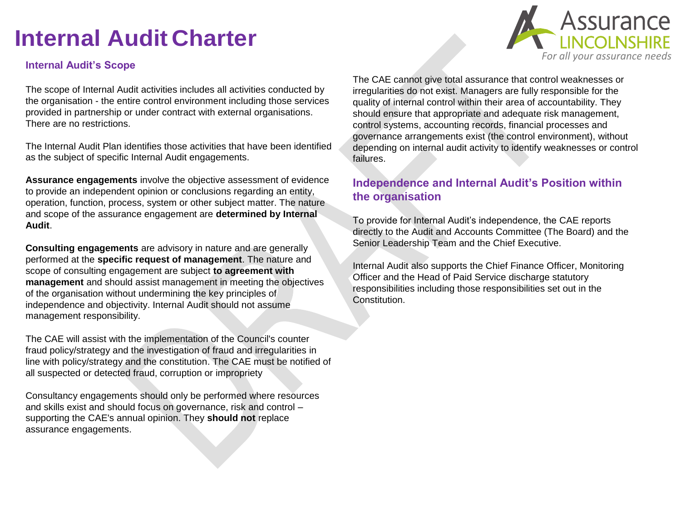#### **Internal Audit's Scope**

The scope of Internal Audit activities includes all activities conducted by the organisation - the entire control environment including those services provided in partnership or under contract with external organisations. There are no restrictions.

The Internal Audit Plan identifies those activities that have been identified as the subject of specific Internal Audit engagements.

**Assurance engagements** involve the objective assessment of evidence to provide an independent opinion or conclusions regarding an entity, operation, function, process, system or other subject matter. The nature and scope of the assurance engagement are **determined by Internal Audit**.

**Consulting engagements** are advisory in nature and are generally performed at the **specific request of management**. The nature and scope of consulting engagement are subject **to agreement with management** and should assist management in meeting the objectives of the organisation without undermining the key principles of independence and objectivity. Internal Audit should not assume management responsibility.

The CAE will assist with the implementation of the Council's counter fraud policy/strategy and the investigation of fraud and irregularities in line with policy/strategy and the constitution. The CAE must be notified of all suspected or detected fraud, corruption or impropriety

Consultancy engagements should only be performed where resources and skills exist and should focus on governance, risk and control – supporting the CAE's annual opinion. They **should not** replace assurance engagements.

The CAE cannot give total assurance that control weaknesses or irregularities do not exist. Managers are fully responsible for the quality of internal control within their area of accountability. They should ensure that appropriate and adequate risk management, control systems, accounting records, financial processes and governance arrangements exist (the control environment), without depending on internal audit activity to identify weaknesses or control failures.

#### **Independence and Internal Audit's Position within the organisation**

To provide for Internal Audit's independence, the CAE reports directly to the Audit and Accounts Committee (The Board) and the Senior Leadership Team and the Chief Executive.

Internal Audit also supports the Chief Finance Officer, Monitoring Officer and the Head of Paid Service discharge statutory responsibilities including those responsibilities set out in the Constitution.

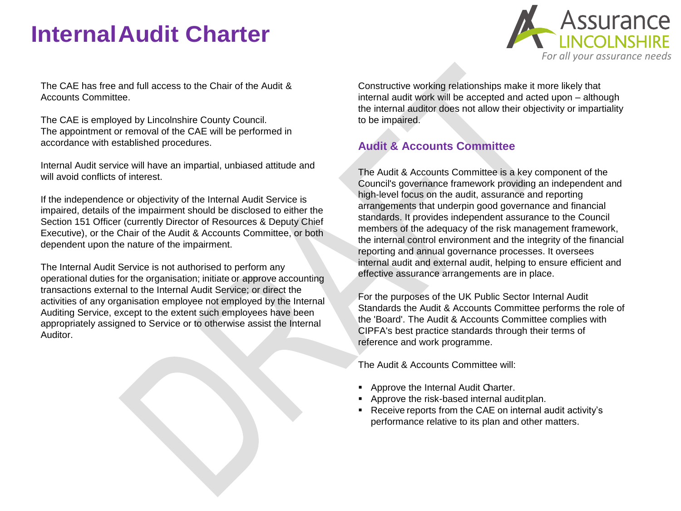

The CAE has free and full access to the Chair of the Audit & Accounts Committee.

The CAE is employed by Lincolnshire County Council. The appointment or removal of the CAE will be performed in accordance with established procedures.

Internal Audit service will have an impartial, unbiased attitude and will avoid conflicts of interest.

If the independence or objectivity of the Internal Audit Service is impaired, details of the impairment should be disclosed to either the Section 151 Officer (currently Director of Resources & Deputy Chief Executive), or the Chair of the Audit & Accounts Committee, or both dependent upon the nature of the impairment.

The Internal Audit Service is not authorised to perform any operational duties for the organisation; initiate or approve accounting transactions external to the Internal Audit Service; or direct the activities of any organisation employee not employed by the Internal Auditing Service, except to the extent such employees have been appropriately assigned to Service or to otherwise assist the Internal Auditor.

Constructive working relationships make it more likely that internal audit work will be accepted and acted upon – although the internal auditor does not allow their objectivity or impartiality to be impaired.

## **Audit & Accounts Committee**

The Audit & Accounts Committee is a key component of the Council's governance framework providing an independent and high-level focus on the audit, assurance and reporting arrangements that underpin good governance and financial standards. It provides independent assurance to the Council members of the adequacy of the risk management framework, the internal control environment and the integrity of the financial reporting and annual governance processes. It oversees internal audit and external audit, helping to ensure efficient and effective assurance arrangements are in place.

For the purposes of the UK Public Sector Internal Audit Standards the Audit & Accounts Committee performs the role of the 'Board'. The Audit & Accounts Committee complies with CIPFA's best practice standards through their terms of reference and work programme.

The Audit & Accounts Committee will:

- **Approve the Internal Audit Charter.**
- **Approve the risk-based internal auditplan.**
- Receive reports from the CAE on internal audit activity's performance relative to its plan and other matters.